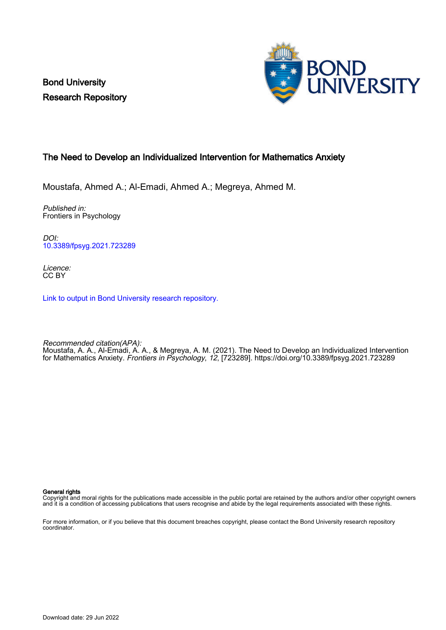Bond University Research Repository



## The Need to Develop an Individualized Intervention for Mathematics Anxiety

Moustafa, Ahmed A.; Al-Emadi, Ahmed A.; Megreya, Ahmed M.

Published in: Frontiers in Psychology

DOI: [10.3389/fpsyg.2021.723289](https://doi.org/10.3389/fpsyg.2021.723289)

Licence: CC BY

[Link to output in Bond University research repository.](https://research.bond.edu.au/en/publications/381fd98f-ed8f-4195-869e-9af6b7f4e015)

Recommended citation(APA): Moustafa, A. A., Al-Emadi, A. A., & Megreya, A. M. (2021). The Need to Develop an Individualized Intervention for Mathematics Anxiety. Frontiers in Psychology, 12, [723289]. <https://doi.org/10.3389/fpsyg.2021.723289>

General rights

Copyright and moral rights for the publications made accessible in the public portal are retained by the authors and/or other copyright owners and it is a condition of accessing publications that users recognise and abide by the legal requirements associated with these rights.

For more information, or if you believe that this document breaches copyright, please contact the Bond University research repository coordinator.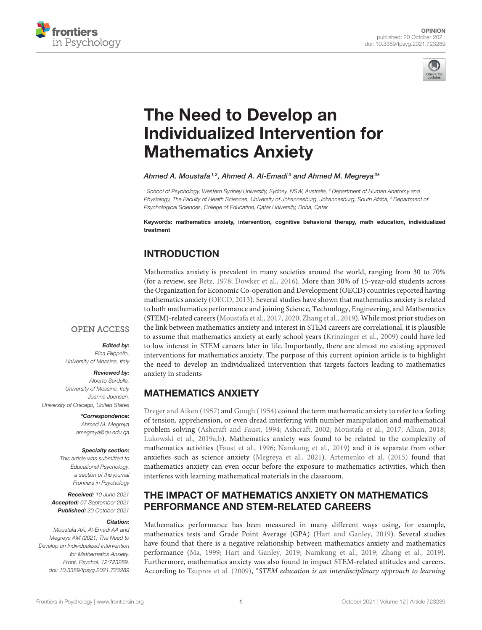



# The Need to Develop an [Individualized Intervention for](https://www.frontiersin.org/articles/10.3389/fpsyg.2021.723289/full) Mathematics Anxiety

#### Ahmed A. Moustafa  $^{1,2}$ , Ahmed A. Al-Emadi $^3$  and Ahmed M. Megreya $^{3*}$

*<sup>1</sup> School of Psychology, Western Sydney University, Sydney, NSW, Australia, <sup>2</sup> Department of Human Anatomy and Physiology, The Faculty of Health Sciences, University of Johannesburg, Johannesburg, South Africa, <sup>3</sup> Department of Psychological Sciences, College of Education, Qatar University, Doha, Qatar*

Keywords: mathematics anxiety, intervention, cognitive behavioral therapy, math education, individualized treatment

# INTRODUCTION

Mathematics anxiety is prevalent in many societies around the world, ranging from 30 to 70% (for a review, see [Betz, 1978;](#page-4-0) [Dowker et al., 2016\)](#page-4-1). More than 30% of 15-year-old students across the Organization for Economic Co-operation and Development (OECD) countries reported having mathematics anxiety [\(OECD, 2013\)](#page-5-0). Several studies have shown that mathematics anxiety is related to both mathematics performance and joining Science, Technology, Engineering, and Mathematics (STEM)-related careers [\(Moustafa et al., 2017,](#page-5-1) [2020;](#page-5-2) [Zhang et al., 2019\)](#page-5-3). While most prior studies on the link between mathematics anxiety and interest in STEM careers are correlational, it is plausible to assume that mathematics anxiety at early school years [\(Krinzinger et al., 2009\)](#page-4-2) could have led to low interest in STEM careers later in life. Importantly, there are almost no existing approved interventions for mathematics anxiety. The purpose of this current opinion article is to highlight the need to develop an individualized intervention that targets factors leading to mathematics anxiety in students

# *University of Messina, Italy*

Reviewed by: *Alberto Sardella, University of Messina, Italy Juanna Joensen, University of Chicago, United States*

> \*Correspondence: *Ahmed M. Megreya [amegreya@qu.edu.qa](mailto:amegreya@qu.edu.qa)*

Edited by: *Pina Filippello,*

**OPEN ACCESS** 

#### Specialty section:

*This article was submitted to Educational Psychology, a section of the journal Frontiers in Psychology*

Received: *10 June 2021* Accepted: *07 September 2021* Published: *20 October 2021*

#### Citation:

*Moustafa AA, Al-Emadi AA and Megreya AM (2021) The Need to Develop an Individualized Intervention for Mathematics Anxiety. Front. Psychol. 12:723289. doi: [10.3389/fpsyg.2021.723289](https://doi.org/10.3389/fpsyg.2021.723289)* MATHEMATICS ANXIETY

[Dreger and Aiken \(1957\)](#page-4-3) and [Gough \(1954\)](#page-4-4) coined the term mathematic anxiety to refer to a feeling of tension, apprehension, or even dread interfering with number manipulation and mathematical problem solving [\(Ashcraft and Faust, 1994;](#page-4-5) [Ashcraft, 2002;](#page-4-6) [Moustafa et al., 2017;](#page-5-1) [Alkan, 2018;](#page-4-7) [Lukowski et al., 2019a](#page-4-8)[,b\)](#page-4-9). Mathematics anxiety was found to be related to the complexity of mathematics activities [\(Faust et al., 1996;](#page-4-10) [Namkung et al., 2019\)](#page-5-4) and it is separate from other anxieties such as science anxiety [\(Megreya et al., 2021\)](#page-4-11). [Artemenko et al. \(2015\)](#page-4-12) found that mathematics anxiety can even occur before the exposure to mathematics activities, which then interferes with learning mathematical materials in the classroom.

## THE IMPACT OF MATHEMATICS ANXIETY ON MATHEMATICS PERFORMANCE AND STEM-RELATED CAREERS

Mathematics performance has been measured in many different ways using, for example, mathematics tests and Grade Point Average (GPA) [\(Hart and Ganley, 2019\)](#page-4-13). Several studies have found that there is a negative relationship between mathematics anxiety and mathematics performance [\(Ma, 1999;](#page-4-14) [Hart and Ganley, 2019;](#page-4-13) [Namkung et al., 2019;](#page-5-4) [Zhang et al., 2019\)](#page-5-3). Furthermore, mathematics anxiety was also found to impact STEM-related attitudes and careers. According to [Tsupros et al. \(2009\)](#page-5-5), "STEM education is an interdisciplinary approach to learning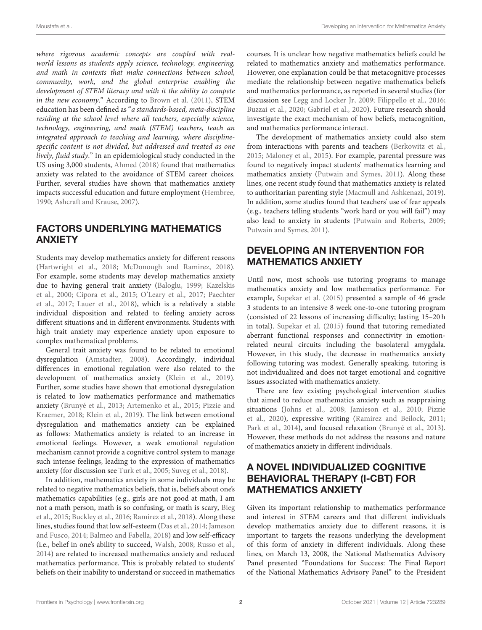where rigorous academic concepts are coupled with realworld lessons as students apply science, technology, engineering, and math in contexts that make connections between school, community, work, and the global enterprise enabling the development of STEM literacy and with it the ability to compete in the new economy." According to [Brown et al. \(2011\)](#page-4-15), STEM education has been defined as "a standards-based, meta-discipline residing at the school level where all teachers, especially science, technology, engineering, and math (STEM) teachers, teach an integrated approach to teaching and learning, where disciplinespecific content is not divided, but addressed and treated as one lively, fluid study." In an epidemiological study conducted in the US using 3,000 students, [Ahmed \(2018\)](#page-4-16) found that mathematics anxiety was related to the avoidance of STEM career choices. Further, several studies have shown that mathematics anxiety impacts successful education and future employment [\(Hembree,](#page-4-17) [1990;](#page-4-17) [Ashcraft and Krause, 2007\)](#page-4-18).

#### FACTORS UNDERLYING MATHEMATICS ANXIETY

Students may develop mathematics anxiety for different reasons [\(Hartwright et al., 2018;](#page-4-19) [McDonough and Ramirez, 2018\)](#page-4-20). For example, some students may develop mathematics anxiety due to having general trait anxiety [\(Baloglu, 1999;](#page-4-21) Kazelskis et al., [2000;](#page-4-22) [Cipora et al., 2015;](#page-4-23) [O'Leary et al., 2017;](#page-5-6) Paechter et al., [2017;](#page-5-7) [Lauer et al., 2018\)](#page-4-24), which is a relatively a stable individual disposition and related to feeling anxiety across different situations and in different environments. Students with high trait anxiety may experience anxiety upon exposure to complex mathematical problems.

General trait anxiety was found to be related to emotional dysregulation [\(Amstadter, 2008\)](#page-4-25). Accordingly, individual differences in emotional regulation were also related to the development of mathematics anxiety [\(Klein et al., 2019\)](#page-4-26). Further, some studies have shown that emotional dysregulation is related to low mathematics performance and mathematics anxiety [\(Brunyé et al., 2013;](#page-4-27) [Artemenko et al., 2015;](#page-4-12) Pizzie and Kraemer, [2018;](#page-5-8) [Klein et al., 2019\)](#page-4-26). The link between emotional dysregulation and mathematics anxiety can be explained as follows: Mathematics anxiety is related to an increase in emotional feelings. However, a weak emotional regulation mechanism cannot provide a cognitive control system to manage such intense feelings, leading to the expression of mathematics anxiety (for discussion see [Turk et al., 2005;](#page-5-9) [Suveg et al., 2018\)](#page-5-10).

In addition, mathematics anxiety in some individuals may be related to negative mathematics beliefs, that is, beliefs about one's mathematics capabilities (e.g., girls are not good at math, I am not a math person, math is so confusing, or math is scary, Bieg et al., [2015;](#page-4-28) [Buckley et al., 2016;](#page-4-29) [Ramirez et al., 2018\)](#page-5-11). Along these lines, studies found that low self-esteem [\(Das et al., 2014;](#page-4-30) Jameson and Fusco, [2014;](#page-4-31) [Balmeo and Fabella, 2018\)](#page-4-32) and low self-efficacy (i.e., belief in one's ability to succeed, [Walsh, 2008;](#page-5-12) [Russo et al.,](#page-5-13) [2014\)](#page-5-13) are related to increased mathematics anxiety and reduced mathematics performance. This is probably related to students' beliefs on their inability to understand or succeed in mathematics courses. It is unclear how negative mathematics beliefs could be related to mathematics anxiety and mathematics performance. However, one explanation could be that metacognitive processes mediate the relationship between negative mathematics beliefs and mathematics performance, as reported in several studies (for discussion see [Legg and Locker Jr, 2009;](#page-4-33) [Filippello et al., 2016;](#page-4-34) [Buzzai et al., 2020;](#page-4-35) [Gabriel et al., 2020\)](#page-4-36). Future research should investigate the exact mechanism of how beliefs, metacognition, and mathematics performance interact.

The development of mathematics anxiety could also stem from interactions with parents and teachers [\(Berkowitz et al.,](#page-4-37) [2015;](#page-4-37) [Maloney et al., 2015\)](#page-4-38). For example, parental pressure was found to negatively impact students' mathematics learning and mathematics anxiety [\(Putwain and Symes, 2011\)](#page-5-14). Along these lines, one recent study found that mathematics anxiety is related to authoritarian parenting style [\(Macmull and Ashkenazi, 2019\)](#page-4-39). In addition, some studies found that teachers' use of fear appeals (e.g., teachers telling students "work hard or you will fail") may also lead to anxiety in students [\(Putwain and Roberts, 2009;](#page-5-15) [Putwain and Symes, 2011\)](#page-5-14).

## DEVELOPING AN INTERVENTION FOR MATHEMATICS ANXIETY

Until now, most schools use tutoring programs to manage mathematics anxiety and low mathematics performance. For example, [Supekar et al. \(2015\)](#page-5-16) presented a sample of 46 grade 3 students to an intensive 8 week one-to-one tutoring program (consisted of 22 lessons of increasing difficulty; lasting 15–20 h in total). [Supekar et al. \(2015\)](#page-5-16) found that tutoring remediated aberrant functional responses and connectivity in emotionrelated neural circuits including the basolateral amygdala. However, in this study, the decrease in mathematics anxiety following tutoring was modest. Generally speaking, tutoring is not individualized and does not target emotional and cognitive issues associated with mathematics anxiety.

There are few existing psychological intervention studies that aimed to reduce mathematics anxiety such as reappraising situations [\(Johns et al., 2008;](#page-4-40) [Jamieson et al., 2010;](#page-4-41) Pizzie et al., [2020\)](#page-5-17), expressive writing [\(Ramirez and Beilock, 2011;](#page-5-18) [Park et al., 2014\)](#page-5-19), and focused relaxation [\(Brunyé et al., 2013\)](#page-4-27). However, these methods do not address the reasons and nature of mathematics anxiety in different individuals.

## A NOVEL INDIVIDUALIZED COGNITIVE BEHAVIORAL THERAPY (I-CBT) FOR MATHEMATICS ANXIETY

Given its important relationship to mathematics performance and interest in STEM careers and that different individuals develop mathematics anxiety due to different reasons, it is important to targets the reasons underlying the development of this form of anxiety in different individuals. Along these lines, on March 13, 2008, the National Mathematics Advisory Panel presented "Foundations for Success: The Final Report of the National Mathematics Advisory Panel" to the President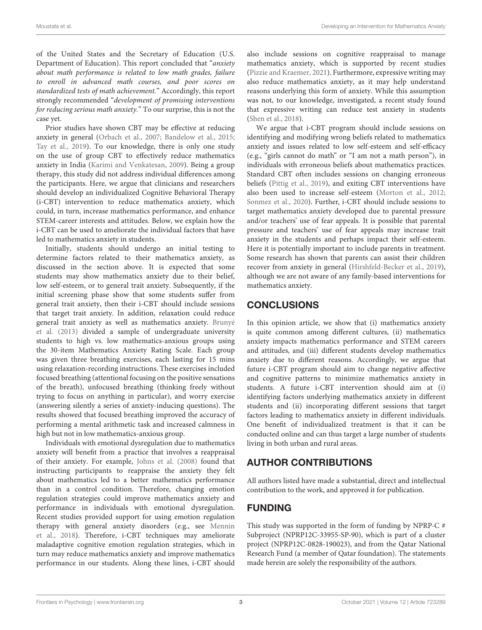of the United States and the Secretary of Education (U.S. Department of Education). This report concluded that "anxiety about math performance is related to low math grades, failure to enroll in advanced math courses, and poor scores on standardized tests of math achievement." Accordingly, this report strongly recommended "development of promising interventions for reducing serious math anxiety." To our surprise, this is not the case yet.

Prior studies have shown CBT may be effective at reducing anxiety in general [\(Orbach et al., 2007;](#page-5-20) [Bandelow et al., 2015;](#page-4-42) [Tay et al., 2019\)](#page-5-21). To our knowledge, there is only one study on the use of group CBT to effectively reduce mathematics anxiety in India [\(Karimi and Venkatesan, 2009\)](#page-4-43). Being a group therapy, this study did not address individual differences among the participants. Here, we argue that clinicians and researchers should develop an individualized Cognitive Behavioral Therapy (i-CBT) intervention to reduce mathematics anxiety, which could, in turn, increase mathematics performance, and enhance STEM-career interests and attitudes. Below, we explain how the i-CBT can be used to ameliorate the individual factors that have led to mathematics anxiety in students.

Initially, students should undergo an initial testing to determine factors related to their mathematics anxiety, as discussed in the section above. It is expected that some students may show mathematics anxiety due to their belief, low self-esteem, or to general trait anxiety. Subsequently, if the initial screening phase show that some students suffer from general trait anxiety, then their i-CBT should include sessions that target trait anxiety. In addition, relaxation could reduce general trait anxiety as well as mathematics anxiety. Brunyé et al. [\(2013\)](#page-4-27) divided a sample of undergraduate university students to high vs. low mathematics-anxious groups using the 30-item Mathematics Anxiety Rating Scale. Each group was given three breathing exercises, each lasting for 15 mins using relaxation-recording instructions. These exercises included focused breathing (attentional focusing on the positive sensations of the breath), unfocused breathing (thinking freely without trying to focus on anything in particular), and worry exercise (answering silently a series of anxiety-inducing questions). The results showed that focused breathing improved the accuracy of performing a mental arithmetic task and increased calmness in high but not in low mathematics-anxious group.

Individuals with emotional dysregulation due to mathematics anxiety will benefit from a practice that involves a reappraisal of their anxiety. For example, [Johns et al. \(2008\)](#page-4-40) found that instructing participants to reappraise the anxiety they felt about mathematics led to a better mathematics performance than in a control condition. Therefore, changing emotion regulation strategies could improve mathematics anxiety and performance in individuals with emotional dysregulation. Recent studies provided support for using emotion regulation therapy with general anxiety disorders (e.g., see Mennin et al., [2018\)](#page-5-22). Therefore, i-CBT techniques may ameliorate maladaptive cognitive emotion regulation strategies, which in turn may reduce mathematics anxiety and improve mathematics performance in our students. Along these lines, i-CBT should also include sessions on cognitive reappraisal to manage mathematics anxiety, which is supported by recent studies [\(Pizzie and Kraemer, 2021\)](#page-5-23). Furthermore, expressive writing may also reduce mathematics anxiety, as it may help understand reasons underlying this form of anxiety. While this assumption was not, to our knowledge, investigated, a recent study found that expressive writing can reduce test anxiety in students [\(Shen et al., 2018\)](#page-5-24).

We argue that i-CBT program should include sessions on identifying and modifying wrong beliefs related to mathematics anxiety and issues related to low self-esteem and self-efficacy (e.g., "girls cannot do math" or "I am not a math person"), in individuals with erroneous beliefs about mathematics practices. Standard CBT often includes sessions on changing erroneous beliefs [\(Pittig et al., 2019\)](#page-5-25), and exiting CBT interventions have also been used to increase self-esteem [\(Morton et al., 2012;](#page-5-26) [Sonmez et al., 2020\)](#page-5-27). Further, i-CBT should include sessions to target mathematics anxiety developed due to parental pressure and/or teachers' use of fear appeals. It is possible that parental pressure and teachers' use of fear appeals may increase trait anxiety in the students and perhaps impact their self-esteem. Here it is potentially important to include parents in treatment. Some research has shown that parents can assist their children recover from anxiety in general [\(Hirshfeld-Becker et al., 2019\)](#page-4-44), although we are not aware of any family-based interventions for mathematics anxiety.

# **CONCLUSIONS**

In this opinion article, we show that (i) mathematics anxiety is quite common among different cultures, (ii) mathematics anxiety impacts mathematics performance and STEM careers and attitudes, and (iii) different students develop mathematics anxiety due to different reasons. Accordingly, we argue that future i-CBT program should aim to change negative affective and cognitive patterns to minimize mathematics anxiety in students. A future i-CBT intervention should aim at (i) identifying factors underlying mathematics anxiety in different students and (ii) incorporating different sessions that target factors leading to mathematics anxiety in different individuals. One benefit of individualized treatment is that it can be conducted online and can thus target a large number of students living in both urban and rural areas.

# AUTHOR CONTRIBUTIONS

All authors listed have made a substantial, direct and intellectual contribution to the work, and approved it for publication.

# FUNDING

This study was supported in the form of funding by NPRP-C # Subproject (NPRP12C-33955-SP-90), which is part of a cluster project (NPRP12C-0828-190023), and from the Qatar National Research Fund (a member of Qatar foundation). The statements made herein are solely the responsibility of the authors.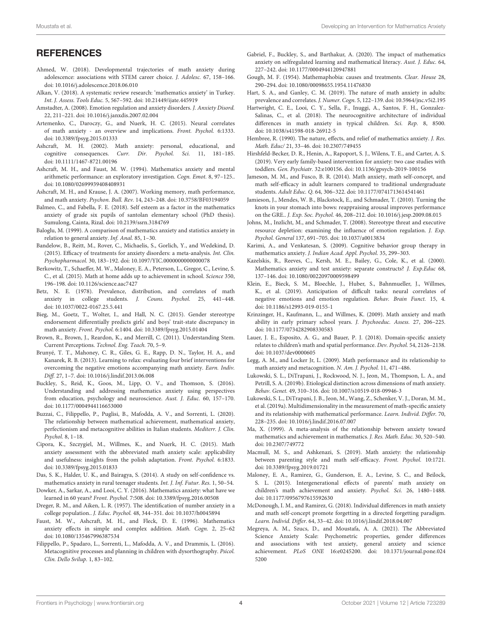#### **REFERENCES**

- <span id="page-4-16"></span>Ahmed, W. (2018). Developmental trajectories of math anxiety during adolescence: associations with STEM career choice. J. Adolesc. 67, 158–166. doi: [10.1016/j.adolescence.2018.06.010](https://doi.org/10.1016/j.adolescence.2018.06.010)
- <span id="page-4-7"></span>Alkan, V. (2018). A systematic review research: 'mathematics anxiety' in Turkey. Int. J. Assess. Tools Educ. 5, 567–592. doi: [10.21449/ijate.445919](https://doi.org/10.21449/ijate.445919)
- <span id="page-4-25"></span>Amstadter, A. (2008). Emotion regulation and anxiety disorders. J. Anxiety Disord. 22, 211–221. doi: [10.1016/j.janxdis.2007.02.004](https://doi.org/10.1016/j.janxdis.2007.02.004)
- <span id="page-4-12"></span>Artemenko, C., Daroczy, G., and Nuerk, H. C. (2015). Neural correlates of math anxiety - an overview and implications. Front. Psychol. 6:1333. doi: [10.3389/fpsyg.2015.01333](https://doi.org/10.3389/fpsyg.2015.01333)
- <span id="page-4-6"></span>Ashcraft, M. H. (2002). Math anxiety: personal, educational, and cognitive consequences. Curr. Dir. Psychol. Sci. 11, 181-185. doi: [10.1111/1467-8721.00196](https://doi.org/10.1111/1467-8721.00196)
- <span id="page-4-5"></span>Ashcraft, M. H., and Faust, M. W. (1994). Mathematics anxiety and mental arithmetic performance: an exploratory investigation. Cogn. Emot. 8, 97–125.. doi: [10.1080/02699939408408931](https://doi.org/10.1080/02699939408408931)
- <span id="page-4-18"></span>Ashcraft, M. H., and Krause, J. A. (2007). Working memory, math performance, and math anxiety. Psychon. Bull. Rev. 14, 243–248. doi: [10.3758/BF03194059](https://doi.org/10.3758/BF03194059)
- <span id="page-4-32"></span>Balmeo, C., and Fabella, F. E. (2018). Self esteem as a factor in the mathematics anxiety of grade six pupils of santolan elementary school (PhD thesis). Sumulong, Cainta, Rizal. doi: [10.2139/ssrn.3184769](https://doi.org/10.2139/ssrn.3184769)
- <span id="page-4-21"></span>Baloglu, M. (1999). A comparison of mathematics anxiety and statistics anxiety in relation to general anxiety. Inf. Anal. 85, 1–30.
- <span id="page-4-42"></span>Bandelow, B., Reitt, M., Rover, C., Michaelis, S., Gorlich, Y., and Wedekind, D. (2015). Efficacy of treatments for anxiety disorders: a meta-analysis. Int. Clin. Psychopharmacol. 30, 183–192. doi: [10.1097/YIC.0000000000000078](https://doi.org/10.1097/YIC.0000000000000078)
- <span id="page-4-37"></span>Berkowitz, T., Schaeffer, M. W., Maloney, E. A., Peterson, L., Gregor, C., Levine, S. C., et al. (2015). Math at home adds up to achievement in school. Science 350, 196–198. doi: [10.1126/science.aac7427](https://doi.org/10.1126/science.aac7427)
- <span id="page-4-0"></span>Betz, N. E. (1978). Prevalence, distribution, and correlates of math anxiety in college students. J. Couns. Psychol. 25, 441–448. doi: [10.1037/0022-0167.25.5.441](https://doi.org/10.1037/0022-0167.25.5.441)
- <span id="page-4-28"></span>Bieg, M., Goetz, T., Wolter, I., and Hall, N. C. (2015). Gender stereotype endorsement differentially predicts girls' and boys' trait-state discrepancy in math anxiety. Front. Psychol. 6:1404. doi: [10.3389/fpsyg.2015.01404](https://doi.org/10.3389/fpsyg.2015.01404)
- <span id="page-4-15"></span>Brown, R., Brown, J., Reardon, K., and Merrill, C. (2011). Understanding Stem. Current Perceptions. Technol. Eng. Teach. 70, 5–9.
- <span id="page-4-27"></span>Brunyé, T. T., Mahoney, C. R., Giles, G. E., Rapp, D. N., Taylor, H. A., and Kanarek, R. B. (2013). Learning to relax: evaluating four brief interventions for overcoming the negative emotions accompanying math anxiety. Earn. Indiv. Diff. 27, 1–7. doi: [10.1016/j.lindif.2013.06.008](https://doi.org/10.1016/j.lindif.2013.06.008)
- <span id="page-4-29"></span>Buckley, S., Reid, K., Goos, M., Lipp, O. V., and Thomson, S. (2016). Understanding and addressing mathematics anxiety using perspectives from education, psychology and neuroscience. Aust. J. Educ. 60, 157–170. doi: [10.1177/0004944116653000](https://doi.org/10.1177/0004944116653000)
- <span id="page-4-35"></span>Buzzai, C., Filippello, P., Puglisi, B., Mafodda, A. V., and Sorrenti, L. (2020). The relationship between mathematical achievement, mathematical anxiety, perfectionism and metacognitive abilities in Italian students. Mediterr. J. Clin. Psychol. 8, 1–18.
- <span id="page-4-23"></span>Cipora, K., Szczygiel, M., Willmes, K., and Nuerk, H. C. (2015). Math anxiety assessment with the abbreviated math anxiety scale: applicability and usefulness: insights from the polish adaptation. Front. Psychol. 6:1833. doi: [10.3389/fpsyg.2015.01833](https://doi.org/10.3389/fpsyg.2015.01833)
- <span id="page-4-30"></span>Das, S. K., Halder, U. K., and Bairagya, S. (2014). A study on self-confidence vs. mathematics anxiety in rural teenager students. Int. J. Inf. Futur. Res. 1, 50–54.
- <span id="page-4-1"></span>Dowker, A., Sarkar, A., and Looi, C. Y. (2016). Mathematics anxiety: what have we learned in 60 years? Front. Psychol. 7:508. doi: [10.3389/fpsyg.2016.00508](https://doi.org/10.3389/fpsyg.2016.00508)
- <span id="page-4-3"></span>Dreger, R. M., and Aiken, L. R. (1957). The identification of number anxiety in a college population.. J. Educ. Psychol. 48, 344–351. doi: [10.1037/h0045894](https://doi.org/10.1037/h0045894)
- <span id="page-4-10"></span>Faust, M. W., Ashcraft, M. H., and Fleck, D. E. (1996). Mathematics anxiety effects in simple and complex addition. Math. Cogn. 2, 25–62 doi: [10.1080/135467996387534](https://doi.org/10.1080/135467996387534)
- <span id="page-4-34"></span>Filippello, P., Spadaro, L., Sorrenti, L., Mafodda, A. V., and Drammis, L. (2016). Metacognitive processes and planning in children with dysorthography. Psicol. Clin. Dello Svilup. 1, 83–102.
- <span id="page-4-36"></span>Gabriel, F., Buckley, S., and Barthakur, A. (2020). The impact of mathematics anxiety on selfregulated learning and mathematical literacy. Aust. J. Educ. 64, 227–242. doi: [10.1177/0004944120947881](https://doi.org/10.1177/0004944120947881)
- <span id="page-4-4"></span>Gough, M. F. (1954). Mathemaphobia: causes and treatments. Clear. House 28, 290–294. doi: [10.1080/00098655.1954.11476830](https://doi.org/10.1080/00098655.1954.11476830)
- <span id="page-4-13"></span>Hart, S. A., and Ganley, C. M. (2019). The nature of math anxiety in adults: prevalence and correlates. J. Numer. Cogn. 5, 122–139. doi: [10.5964/jnc.v5i2.195](https://doi.org/10.5964/jnc.v5i2.195)
- <span id="page-4-19"></span>Hartwright, C. E., Looi, C. Y., Sella, F., Inuggi, A., Santos, F. H., Gonzalez-Salinas, C., et al. (2018). The neurocognitive architecture of individual differences in math anxiety in typical children. Sci. Rep. 8, 8500. doi: [10.1038/s41598-018-26912-5](https://doi.org/10.1038/s41598-018-26912-5)
- <span id="page-4-17"></span>Hembree, R. (1990). The nature, effects, and relief of mathematics anxiety. J. Res. Math. Educ/ 21, 33–46. doi: [10.2307/749455](https://doi.org/10.2307/749455)
- <span id="page-4-44"></span>Hirshfeld-Becker, D. R., Henin, A., Rapoport, S. J., Wilens, T. E., and Carter, A. S. (2019). Very early family-based intervention for anxiety: two case studies with toddlers. Gen. Psychiatr. 32:e100156. doi: [10.1136/gpsych-2019-100156](https://doi.org/10.1136/gpsych-2019-100156)
- <span id="page-4-31"></span>Jameson, M. M., and Fusco, B. R. (2014). Math anxiety, math self-concept, and math self-efficacy in adult learners compared to traditional undergraduate students. Adult Educ. Q. 64, 306–322. doi: [10.1177/0741713614541461](https://doi.org/10.1177/0741713614541461)
- <span id="page-4-41"></span>Jamieson, J., Mendes, W. B., Blackstock, E., and Schmader, T. (2010). Turning the knots in your stomach into bows: reappraising arousal improves performance on the GRE.. J. Exp. Soc. Psychol. 46, 208–212. doi: [10.1016/j.jesp.2009.08.015](https://doi.org/10.1016/j.jesp.2009.08.015)
- <span id="page-4-40"></span>Johns, M., Inzlicht, M., and Schmader, T. (2008). Stereotype threat and executive resource depletion: examining the influence of emotion regulation. J. Exp. Psychol. General 137, 691–705. doi: [10.1037/a0013834](https://doi.org/10.1037/a0013834)
- <span id="page-4-43"></span>Karimi, A., and Venkatesan, S. (2009). Cognitive behavior group therapy in mathematics anxiety. J. Indian Acad. Appl. Psychol. 35, 299–303.
- <span id="page-4-22"></span>Kazelskis, R., Reeves, C., Kersh, M. E., Bailey, G., Cole, K., et al. (2000). Mathematics anxiety and test anxiety: separate constructs? J. Exp.Educ 68, 137–146. doi: [10.1080/00220970009598499](https://doi.org/10.1080/00220970009598499)
- <span id="page-4-26"></span>Klein, E., Bieck, S. M., Bloechle, J., Huber, S., Bahnmueller, J., Willmes, K., et al. (2019). Anticipation of difficult tasks: neural correlates of negative emotions and emotion regulation. Behav. Brain Funct. 15, 4. doi: [10.1186/s12993-019-0155-1](https://doi.org/10.1186/s12993-019-0155-1)
- <span id="page-4-2"></span>Krinzinger, H., Kaufmann, L., and Willmes, K. (2009). Math anxiety and math ability in early primary school years. J. Psychoeduc. Assess. 27, 206–225. doi: [10.1177/0734282908330583](https://doi.org/10.1177/0734282908330583)
- <span id="page-4-24"></span>Lauer, J. E., Esposito, A. G., and Bauer, P. J. (2018). Domain-specific anxiety relates to children's math and spatial performance. Dev. Psychol. 54, 2126–2138. doi: [10.1037/dev0000605](https://doi.org/10.1037/dev0000605)
- <span id="page-4-33"></span>Legg, A. M., and Locker Jr, L. (2009). Math performance and its relationship to math anxiety and metacognition. N. Am. J. Psychol. 11, 471–486.
- <span id="page-4-9"></span>Lukowski, S. L., DiTrapani, J., Rockwood, N. J., Jeon, M., Thompson, L. A., and Petrill, S. A. (2019b). Etiological distinction across dimensions of math anxiety. Behav. Genet. 49, 310–316. doi: [10.1007/s10519-018-09946-3](https://doi.org/10.1007/s10519-018-09946-3)
- <span id="page-4-8"></span>Lukowski, S. L., DiTrapani, J. B., Jeon, M., Wang, Z., Schenker, V. J., Doran, M. M., et al. (2019a). Multidimensionality in the measurement of math-specific anxiety and its relationship with mathematical performance. Learn. Individ. Differ. 70, 228–235. doi: [10.1016/j.lindif.2016.07.007](https://doi.org/10.1016/j.lindif.2016.07.007)
- <span id="page-4-14"></span>Ma, X. (1999). A meta-analysis of the relationship between anxiety toward mathematics and achievement in mathematics. J. Res. Math. Educ. 30, 520–540. doi: [10.2307/749772](https://doi.org/10.2307/749772)
- <span id="page-4-39"></span>Macmull, M. S., and Ashkenazi, S. (2019). Math anxiety: the relationship between parenting style and math self-efficacy. Front. Psychol. 10:1721. doi: [10.3389/fpsyg.2019.01721](https://doi.org/10.3389/fpsyg.2019.01721)
- <span id="page-4-38"></span>Maloney, E. A., Ramirez, G., Gunderson, E. A., Levine, S. C., and Beilock, S. L. (2015). Intergenerational effects of parents' math anxiety on children's math achievement and anxiety. Psychol. Sci. 26, 1480–1488. doi: [10.1177/0956797615592630](https://doi.org/10.1177/0956797615592630)
- <span id="page-4-20"></span>McDonough, I. M., and Ramirez, G. (2018). Individual differences in math anxiety and math self-concept promote forgetting in a directed forgetting paradigm. Learn. Individ. Differ. 64, 33–42. doi: [10.1016/j.lindif.2018.04.007](https://doi.org/10.1016/j.lindif.2018.04.007)
- <span id="page-4-11"></span>Megreya, A. M., Szucs, D., and Moustafa, A. A. (2021). The Abbreviated Science Anxiety Scale: Psychometric properties, gender differences and associations with test anxiety, general anxiety and science achievement. PLoS ONE [16:e0245200. doi: 10.1371/journal.pone.024](https://doi.org/10.1371/journal.pone.0245200) 5200